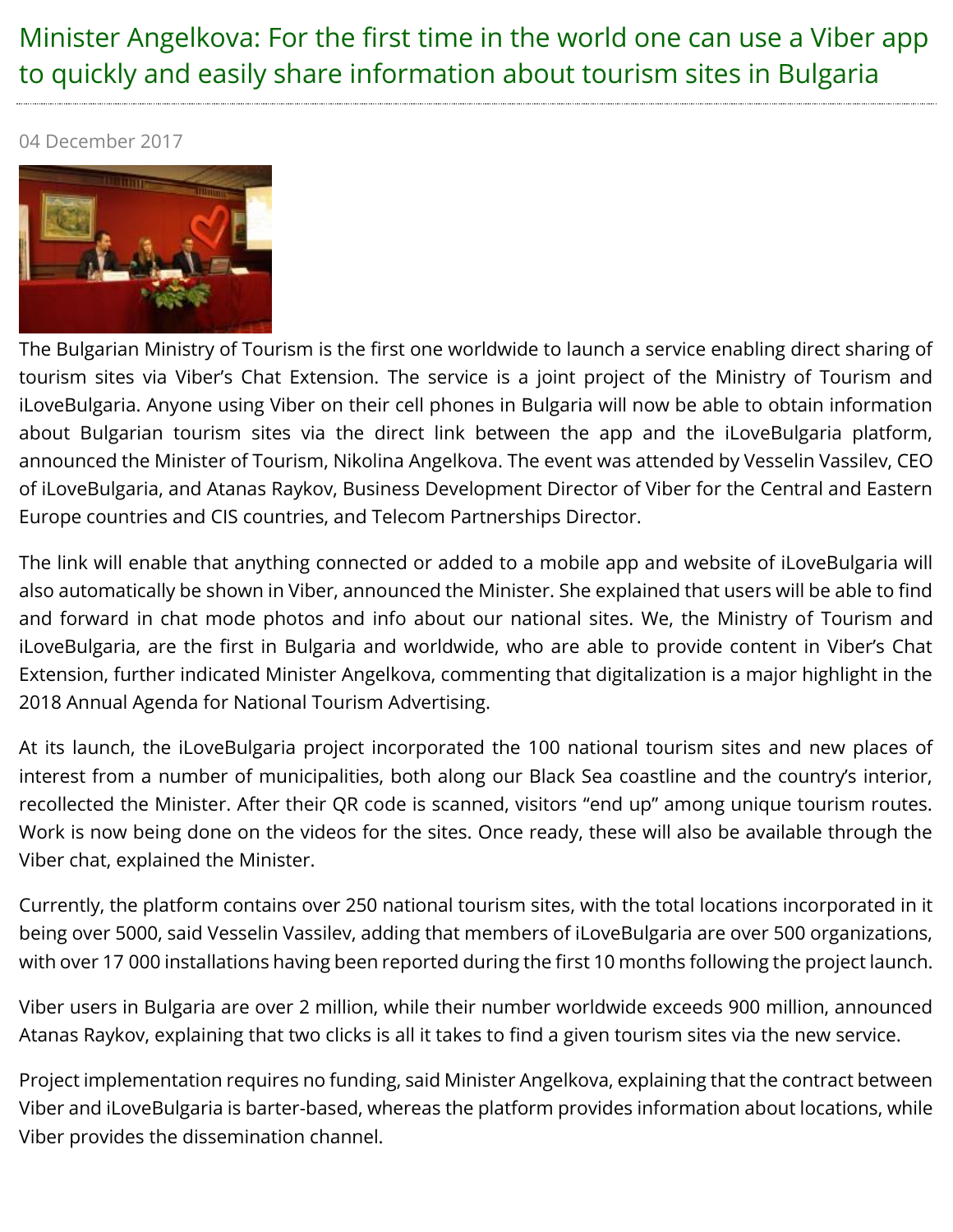## Minister Angelkova: For the first time in the world one can use a Viber app to quickly and easily share information about tourism sites in Bulgaria

04 December 2017



The Bulgarian Ministry of Tourism is the first one worldwide to launch a service enabling direct sharing of tourism sites via Viber's Chat Extension. The service is a joint project of the Ministry of Tourism and iLoveBulgaria. Anyone using Viber on their cell phones in Bulgaria will now be able to obtain information about Bulgarian tourism sites via the direct link between the app and the iLoveBulgaria platform, announced the Minister of Tourism, Nikolina Angelkova. The event was attended by Vesselin Vassilev, CEO of iLoveBulgaria, and Atanas Raykov, Business Development Director of Viber for the Central and Eastern Europe countries and CIS countries, and Telecom Partnerships Director.

The link will enable that anything connected or added to a mobile app and website of iLoveBulgaria will also automatically be shown in Viber, announced the Minister. She explained that users will be able to find and forward in chat mode photos and info about our national sites. We, the Ministry of Tourism and iLoveBulgaria, are the first in Bulgaria and worldwide, who are able to provide content in Viber's Chat Extension, further indicated Minister Angelkova, commenting that digitalization is a major highlight in the 2018 Annual Agenda for National Tourism Advertising.

At its launch, the iLoveBulgaria project incorporated the 100 national tourism sites and new places of interest from a number of municipalities, both along our Black Sea coastline and the country's interior, recollected the Minister. After their QR code is scanned, visitors "end up" among unique tourism routes. Work is now being done on the videos for the sites. Once ready, these will also be available through the Viber chat, explained the Minister.

Currently, the platform contains over 250 national tourism sites, with the total locations incorporated in it being over 5000, said Vesselin Vassilev, adding that members of iLoveBulgaria are over 500 organizations, with over 17 000 installations having been reported during the first 10 months following the project launch.

Viber users in Bulgaria are over 2 million, while their number worldwide exceeds 900 million, announced Atanas Raykov, explaining that two clicks is all it takes to find a given tourism sites via the new service.

Project implementation requires no funding, said Minister Angelkova, explaining that the contract between Viber and iLoveBulgaria is barter-based, whereas the platform provides information about locations, while Viber provides the dissemination channel.